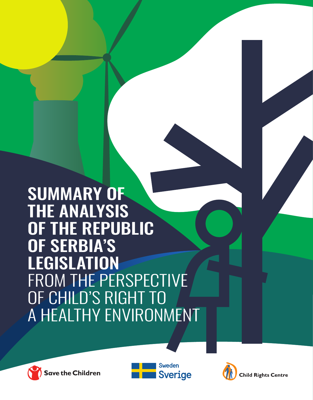SUMMARY OF THE ANALYSIS OF THE REPUBLIC OF SERBIA'S LEGISLATION FROM THE PERSPECTIVE OF CHILD'S RIGHT TO A HEALTHY ENVIRONMENT





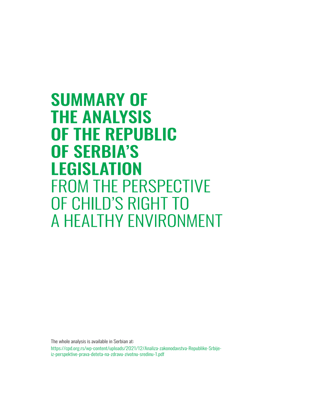**SUMMARY OF THE ANALYSIS OF THE REPUBLIC OF SERBIA'S LEGISLATION FROM THE PERSPECTIVE** OF CHILD'S RIGHT TO A HEALTHY ENVIRONMENT

The whole analysis is available in Serbian at: [https://cpd.org.rs/wp-content/uploads/2021/12/Analiza-zakonodavstva-Republike-Srbije](https://cpd.org.rs/wp-content/uploads/2021/12/Analiza-zakonodavstva-Republike-Srbije-iz-perspektive-prava-deteta-na-zdravu-zivotnu-sredinu-1.pdf)iz-perspektive-prava-deteta-na-zdravu-zivotnu-sredinu-1.pdf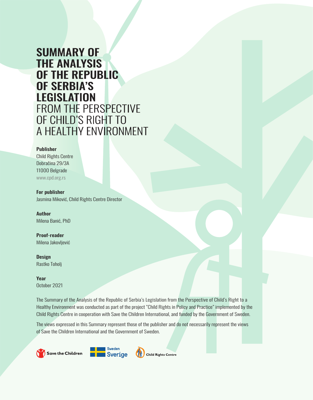## **SUMMARY OF THE ANALYSIS** OF THE REPUBLIC **OF SERBIA'S LEGISLATION** FROM THE PERSPECTIVE OF CHILD'S RIGHT TO A HEALTHY ENVIRONMENT

#### Publisher

Child Rights Centre Dobračina 29/3A 11000 Belgrade <www.cpd.org.rs>

For publisher Jasmina Miković, Child Rights Centre Director

Author Milena Banić, PhD

Proof-reader Milena Jakovljević

**Design** Rastko Toholj

Year October 2021

The Summary of the Analysis of the Republic of Serbia's Legislation from the Perspective of Child's Right to a Healthy Environment was conducted as part of the project "Child Rights in Policy and Practice" implemented by the Child Rights Centre in cooperation with Save the Children International, and funded by the Government of Sweden.

The views expressed in this Summary represent those of the publisher and do not necessarily represent the views of Save the Children International and the Government of Sweden.

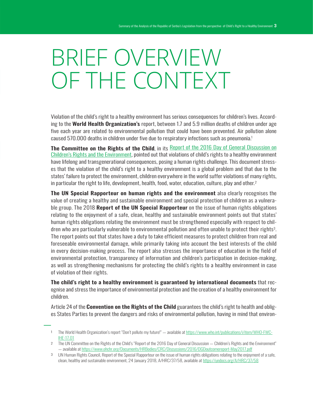## BRIEF OVERVIEW OF THE CONTEXT

Violation of the child's right to a healthy environment has serious consequences for children's lives. According to the World Health Organization's report, between 1.7 and 5.9 million deaths of children under age five each year are related to environmental pollution that could have been prevented. Air pollution alone caused 570.000 deaths in children under five due to respiratory infections such as pneumonia.<sup>1</sup>

The Committee on the Rights of the Child, in its Report of the 2016 Day of General Discussion on [Children's Rights and the Environment](https://www.ohchr.org/Documents/HRBodies/CRC/Discussions/2016/DGDoutcomereport-May2017.pdf), pointed out that violations of child's rights to a healthy environment have lifelong and transgenerational consequences, posing a human rights challenge. This document stresses that the violation of the child's right to a healthy environment is a global problem and that due to the states' failure to protect the environment, children everywhere in the world suffer violations of many rights, in particular the right to life, development, health, food, water, education, culture, play and other.<sup>2</sup>

The UN Special Rapporteur on human rights and the environment also clearly recognises the value of creating a healthy and sustainable environment and special protection of children as a vulnerable group. The 2018 **Report of the UN Special Rapporteur** on the issue of human rights obligations relating to the enjoyment of a safe, clean, healthy and sustainable environment points out that states' human rights obligations relating the environment must be strengthened especially with respect to children who are particularly vulnerable to environmental pollution and often unable to protect their rights<sup>3</sup>. The report points out that states have a duty to take efficient measures to protect children from real and foreseeable environmental damage, while primarily taking into account the best interests of the child in every decision-making process. The report also stresses the importance of education in the field of environmental protection, transparency of information and children's participation in decision-making, as well as strengthening mechanisms for protecting the child's rights to a healthy environment in case of violation of their rights.

The child's right to a healthy environment is guaranteed by international documents that recognise and stress the importance of environmental protection and the creation of a healthy environment for children.

Article 24 of the **Convention on the Rights of the Child** guarantees the child's right to health and obliges States Parties to prevent the dangers and risks of environmental pollution, having in mind that environ-

<sup>1</sup> The World Health Organization's report "Don't pollute my future!" — available at [https://www.who.int/publications/i/item/WHO-FWC-](https://www.who.int/publications/i/item/WHO-FWC-IHE-17.01)[IHE-17.01](https://www.who.int/publications/i/item/WHO-FWC-IHE-17.01)

<sup>2</sup> The UN Committee on the Rights of the Child's "Report of the 2016 Day of General Discussion — Children's Rights and the Environment" — available at<https://www.ohchr.org/Documents/HRBodies/CRC/Discussions/2016/DGDoutcomereport-May2017.pdf>

<sup>3</sup> UN Human Rights Council, Report of the Special Rapporteur on the issue of human rights obligations relating to the enjoyment of a safe, clean, healthy and sustainable environment, 24 January 2018, A/HRC/37/58, available at https://undocs.org/A/HRC/37/58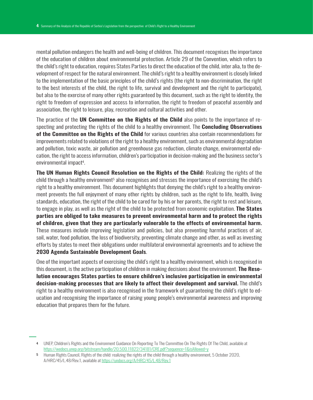mental pollution endangers the health and well-being of children. This document recognises the importance of the education of children about environmental protection. Article 29 of the Convention, which refers to the child's right to education, requires States Parties to direct the education of the child, inter alia, to the development of respect for the natural environment. The child's right to a healthy environment is closely linked to the implementation of the basic principles of the child's rights (the right to non-discrimination, the right to the best interests of the child, the right to life, survival and development and the right to participate), but also to the exercise of many other rights guaranteed by this document, such as the right to identity, the right to freedom of expression and access to information, the right to freedom of peaceful assembly and association, the right to leisure, play, recreation and cultural activities and other.

The practice of the UN Committee on the Rights of the Child also points to the importance of respecting and protecting the rights of the child to a healthy environment. The **Concluding Observations** of the Committee on the Rights of the Child for various countries also contain recommendations for improvements related to violations of the right to a healthy environment, such as environmental degradation and pollution, toxic waste, air pollution and greenhouse gas reduction, climate change, environmental education, the right to access information, children's participation in decision-making and the business sector's environmental impact<sup>4</sup>.

The UN Human Rights Council Resolution on the Rights of the Child: Realizing the rights of the child through a healthy environment<sup>5</sup> also recognises and stresses the importance of exercising the child's right to a healthy environment. This document highlights that denying the child's right to a healthy environment prevents the full enjoyment of many other rights by children, such as the right to life, health, living standards, education, the right of the child to be cared for by his or her parents, the right to rest and leisure, to engage in play, as well as the right of the child to be protected from economic exploitation. **The States** parties are obliged to take measures to prevent environmental harm and to protect the rights of children, given that they are particularly vulnerable to the effects of environmental harm. These measures include improving legislation and policies, but also preventing harmful practices of air, soil, water, food pollution, the loss of biodiversity, preventing climate change and other, as well as investing efforts by states to meet their obligations under multilateral environmental agreements and to achieve the 2030 Agenda Sustainable Development Goals.

One of the important aspects of exercising the child's right to a healthy environment, which is recognised in this document, is the active participation of children in making decisions about the environment. **The Reso**lution encourages States parties to ensure children's inclusive participation in environmental decision-making processes that are likely to affect their development and survival. The child's right to a healthy environment is also recognised in the framework of guaranteeing the child's right to education and recognising the importance of raising young people's environmental awareness and improving education that prepares them for the future.

<sup>4</sup> UNEP, Children's Rights and the Environment Guidance On Reporting To The Committee On The Rights Of The Child, available at <https://wedocs.unep.org/bitstream/handle/20.500.11822/34181/CRE.pdf?sequence=1&isAllowed=y>

<sup>5</sup> Human Rights Council, Rights of the child: realizing the rights of the child through a healthy environment, 5 October 2020, A/HRC/45/L.48/Rev.1, available at https://undocs.org/A/HRC/45/L.48/Rev.1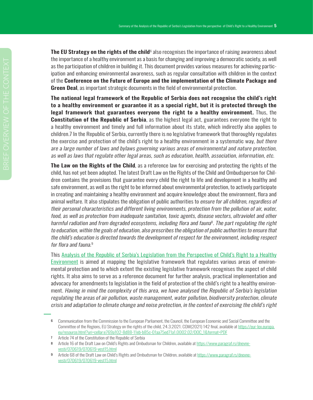The EU Strategy on the rights of the child $^6$  also recognises the importance of raising awareness about the importance of a healthy environment as a basis for changing and improving a democratic society, as well as the participation of children in building it. This document provides various measures for achieving participation and enhancing environmental awareness, such as regular consultation with children in the context of the Conference on the Future of Europe and the implementation of the Climate Package and Green Deal, as important strategic documents in the field of environmental protection.

The national legal framework of the Republic of Serbia does not recognise the child's right to a healthy environment or guarantee it as a special right, but it is protected through the legal framework that guarantees everyone the right to a healthy environment. Thus, the **Constitution of the Republic of Serbia**, as the highest legal act, guarantees everyone the right to a healthy environment and timely and full information about its state, which indirectly also applies to children.7 In the Republic of Serbia, currently there is no legislative framework that thoroughly regulates the exercise and protection of the child's right to a healthy environment in a systematic way, but there are a large number of laws and bylaws governing various areas of environmental and nature protection, as well as laws that regulate other legal areas, such as education, health, association, information, etc.

**The Law on the Rights of the Child**, as a reference law for exercising and protecting the rights of the child, has not yet been adopted. The latest Draft Law on the Rights of the Child and Ombudsperson for Children contains the provisions that guarantee every child the right to life and development in a healthy and safe environment, as well as the right to be informed about environmental protection, to actively participate in creating and maintaining a healthy environment and acquire knowledge about the environment, flora and animal welfare. It also stipulates the obligation of public authorities to ensure for all children, regardless of their personal characteristics and different living environments, protection from the pollution of air, water, food, as well as protection from inadequate sanitation, toxic agents, disease vectors, ultraviolet and other harmful radiation and from degraded ecosystems, including flora and fauna $^{\rm 8}$ . The part regulating the right to education, within the goals of education, also prescribes the obligation of public authorities to ensure that the child's education is directed towards the development of respect for the environment, including respect for flora and fauna.<sup>9</sup>

This [Analysis of the Republic of Serbia's Legislation from the Perspective of Child's Right to a Healthy](https://cpd.org.rs/wp-content/uploads/2022/01/Analiza-zakonodavstva-Republike-Srbije-iz-perspektive-prava-deteta-na-zdravu-zivotnu-sredinu-12-1.pdf)  [Environment](https://cpd.org.rs/wp-content/uploads/2022/01/Analiza-zakonodavstva-Republike-Srbije-iz-perspektive-prava-deteta-na-zdravu-zivotnu-sredinu-12-1.pdf) is aimed at mapping the legislative framework that regulates various areas of environmental protection and to which extent the existing legislative framework recognises the aspect of child rights. It also aims to serve as a reference document for further analysis, practical implementation and advocacy for amendments to legislation in the field of protection of the child's right to a healthy environment. Having in mind the complexity of this area, we have analysed the Republic of Serbia's legislation regulating the areas of air pollution, waste management, water pollution, biodiversity protection, climate crisis and adaptation to climate change and noise protection, in the context of exercising the child's right

<sup>6</sup> Communication from the Commission to the European Parliament, the Council, the European Economic and Social Committee and the [Committee of the Regions, EU Strategy on the rights of the child, 24.3.2021. COM\(2021\) 142 final, available at](https://eur-lex.europa.eu/resource.html?uri=cellar:e769a102-8d88-11eb-b85c-01aa75ed71a1.0002.02/DOC_1&format=PDF) https://eur-lex.europa. eu/resource.html?uri=cellar:e769a102-8d88-11eb-b85c-01aa75ed71a1.0002.02/DOC\_1&format=PDF

<sup>7</sup> Article 74 of the Constitution of the Republic of Serbia

<sup>8</sup> Article 16 of the Draft Law on Child's Rights and Ombudsman for Children, available at https://www.paragraf.rs/dnevnevesti/070619/070619-vest15.html

<sup>9</sup> Article 68 of the Draft Law on Child's Rights and Ombudsman for Children, available at https://www.paragraf.rs/dnevnevesti/070619/070619-vest15.html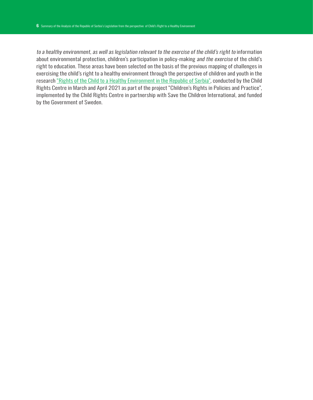to a healthy environment, as well as legislation relevant to the exercise of the child's right to information about environmental protection, children's participation in policy-making and the exercise of the child's right to education. These areas have been selected on the basis of the previous mapping of challenges in exercising the child's right to a healthy environment through the perspective of children and youth in the research ["Rights of the Child to a Healthy Environment in the Republic of Serbia"](https://cpd.org.rs/wp-content/uploads/2021/08/Prava-deteta-na-zdravu-zivotnu-sredinu-u-Republici-Srbiji-1.pdf), conducted by the Child Rights Centre in March and April 2021 as part of the project "Children's Rights in Policies and Practice", implemented by the Child Rights Centre in partnership with Save the Children International, and funded by the Government of Sweden.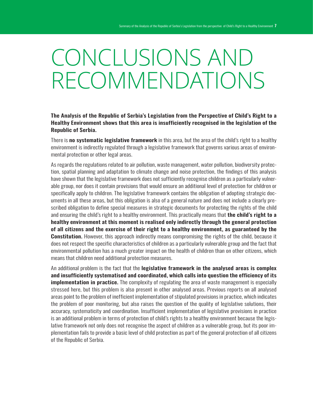# CONCLUSIONS AND RECOMMENDATIONS

The Analysis of the Republic of Serbia's Legislation from the Perspective of Child's Right to a Healthy Environment shows that this area is insufficiently recognised in the legislation of the Republic of Serbia.

There is **no systematic legislative framework** in this area, but the area of the child's right to a healthy environment is indirectly regulated through a legislative framework that governs various areas of environmental protection or other legal areas.

As regards the regulations related to air pollution, waste management, water pollution, biodiversity protection, spatial planning and adaptation to climate change and noise protection, the findings of this analysis have shown that the legislative framework does not sufficiently recognise children as a particularly vulnerable group, nor does it contain provisions that would ensure an additional level of protection for children or specifically apply to children. The legislative framework contains the obligation of adopting strategic documents in all these areas, but this obligation is also of a general nature and does not include a clearly prescribed obligation to define special measures in strategic documents for protecting the rights of the child and ensuring the child's right to a healthy environment. This practically means that **the child's right to a** healthy environment at this moment is realised only indirectly through the general protection of all citizens and the exercise of their right to a healthy environment, as guaranteed by the **Constitution.** However, this approach indirectly means compromising the rights of the child, because it does not respect the specific characteristics of children as a particularly vulnerable group and the fact that environmental pollution has a much greater impact on the health of children than on other citizens, which means that children need additional protection measures.

An additional problem is the fact that the legislative framework in the analysed areas is complex and insufficiently systematised and coordinated, which calls into question the efficiency of its **implementation in practice.** The complexity of regulating the area of waste management is especially stressed here, but this problem is also present in other analysed areas. Previous reports on all analysed areas point to the problem of inefficient implementation of stipulated provisions in practice, which indicates the problem of poor monitoring, but also raises the question of the quality of legislative solutions, their accuracy, systematicity and coordination. Insufficient implementation of legislative provisions in practice is an additional problem in terms of protection of child's rights to a healthy environment because the legislative framework not only does not recognise the aspect of children as a vulnerable group, but its poor implementation fails to provide a basic level of child protection as part of the general protection of all citizens of the Republic of Serbia.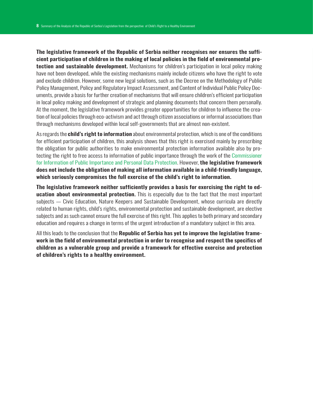The legislative framework of the Republic of Serbia neither recognises nor ensures the sufficient participation of children in the making of local policies in the field of environmental pro**tection and sustainable development.** Mechanisms for children's participation in local policy making have not been developed, while the existing mechanisms mainly include citizens who have the right to vote and exclude children. However, some new legal solutions, such as the Decree on the Methodology of Public Policy Management, Policy and Regulatory Impact Assessment, and Content of Individual Public Policy Documents, provide a basis for further creation of mechanisms that will ensure children's efficient participation in local policy making and development of strategic and planning documents that concern them personally. At the moment, the legislative framework provides greater opportunities for children to influence the creation of local policies through eco-activism and act through citizen associations or informal associations than through mechanisms developed within local self-governments that are almost non-existent.

As regards the **child's right to information** about environmental protection, which is one of the conditions for efficient participation of children, this analysis shows that this right is exercised mainly by prescribing the obligation for public authorities to make environmental protection information available also by protecting the right to free access to information of public importance through the work of the [Commissioner](https://www.poverenik.rs/sr/) [for Information of Public Importance and Personal Data Protection.](https://www.poverenik.rs/sr/) However, the legislative framework does not include the obligation of making all information available in a child-friendly language, which seriously compromises the full exercise of the child's right to information.

The legislative framework neither sufficiently provides a basis for exercising the right to education about environmental protection. This is especially due to the fact that the most important subjects — Civic Education, Nature Keepers and Sustainable Development, whose curricula are directly related to human rights, child's rights, environmental protection and sustainable development, are elective subjects and as such cannot ensure the full exercise of this right. This applies to both primary and secondary education and requires a change in terms of the urgent introduction of a mandatory subject in this area.

All this leads to the conclusion that the Republic of Serbia has yet to improve the legislative framework in the field of environmental protection in order to recognise and respect the specifics of children as a vulnerable group and provide a framework for effective exercise and protection of children's rights to a healthy environment.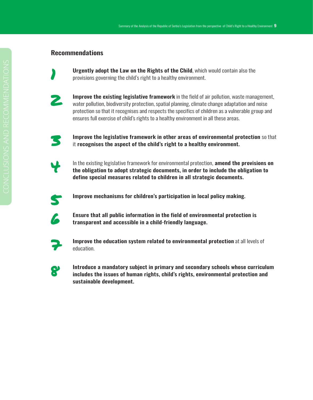#### Recommendations



**Urgently adopt the Law on the Rights of the Child, which would contain also the** provisions governing the child's right to a healthy environment.



**2 Improve the existing legislative framework** in the field of air pollution, waste management, water pollution, biodiversity protection, spatial planning, climate change adaptation and noise protection so that it recognises and respects the specifics of children as a vulnerable group and ensures full exercise of child's rights to a healthy environment in all these areas.



**Improve the legislative framework in other areas of environmental protection** so that it recognises the aspect of the child's right to a healthy environment.

- In the existing legislative framework for environmental protection, **amend the provisions on** the obligation to adopt strategic documents, in order to include the obligation to define special measures related to children in all strategic documents.
- 

**Solution** Improve mechanisms for children's participation in local policy making.



**6 Ensure that all public information in the field of environmental protection is<br>
transparent and accessible in a child-friendly language** transparent and accessible in a child-friendly language.



Improve the education system related to environmental protection at all levels of education.

**8 Introduce a mandatory subject in primary and secondary schools whose curriculum**<br>**8 includes the issues of human rights** child's rights environmental protection and includes the issues of human rights, child's rights, environmental protection and sustainable development.